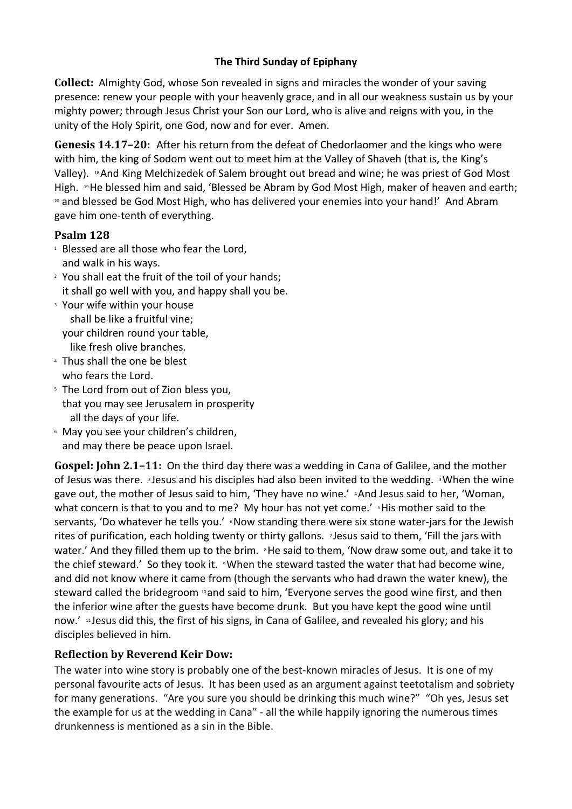## **The Third Sunday of Epiphany**

**Collect:** Almighty God, whose Son revealed in signs and miracles the wonder of your saving presence: renew your people with your heavenly grace, and in all our weakness sustain us by your mighty power; through Jesus Christ your Son our Lord, who is alive and reigns with you, in the unity of the Holy Spirit, one God, now and for ever. Amen.

**Genesis 14.17–20:** After his return from the defeat of Chedorlaomer and the kings who were with him, the king of Sodom went out to meet him at the Valley of Shaveh (that is, the King's Valley). <sup>18</sup>And King Melchizedek of Salem brought out bread and wine; he was priest of God Most High. 19He blessed him and said, 'Blessed be Abram by God Most High, maker of heaven and earth; 20 and blessed be God Most High, who has delivered your enemies into your hand!' And Abram gave him one-tenth of everything.

## **Psalm 128**

- <sup>1</sup> Blessed are all those who fear the Lord, and walk in his ways.
- 2 You shall eat the fruit of the toil of your hands; it shall go well with you, and happy shall you be.
- 3 Your wife within your house shall be like a fruitful vine; your children round your table, like fresh olive branches.
- 4 Thus shall the one be blest who fears the Lord.
- 5 The Lord from out of Zion bless you, that you may see Jerusalem in prosperity all the days of your life.
- 6 May you see your children's children, and may there be peace upon Israel.

**Gospel: John 2.1–11:** On the third day there was a wedding in Cana of Galilee, and the mother of Jesus was there. <sup>2</sup> Jesus and his disciples had also been invited to the wedding. <sup>3</sup>When the wine gave out, the mother of Jesus said to him, 'They have no wine.' <sup>4</sup>And Jesus said to her, 'Woman, what concern is that to you and to me? My hour has not yet come.' <sup>5</sup>His mother said to the servants, 'Do whatever he tells you.' **Now standing there were six stone water-jars for the Jewish** rites of purification, each holding twenty or thirty gallons. <sup>7</sup> Jesus said to them, 'Fill the jars with water.' And they filled them up to the brim. <sup>8</sup>He said to them, 'Now draw some out, and take it to the chief steward.' So they took it. <sup>9</sup>When the steward tasted the water that had become wine, and did not know where it came from (though the servants who had drawn the water knew), the steward called the bridegroom  $\omega$  and said to him, 'Everyone serves the good wine first, and then the inferior wine after the guests have become drunk. But you have kept the good wine until now.' <sup>11</sup> Jesus did this, the first of his signs, in Cana of Galilee, and revealed his glory; and his disciples believed in him.

## **Reflection by Reverend Keir Dow:**

The water into wine story is probably one of the best-known miracles of Jesus. It is one of my personal favourite acts of Jesus. It has been used as an argument against teetotalism and sobriety for many generations. "Are you sure you should be drinking this much wine?" "Oh yes, Jesus set the example for us at the wedding in Cana" - all the while happily ignoring the numerous times drunkenness is mentioned as a sin in the Bible.